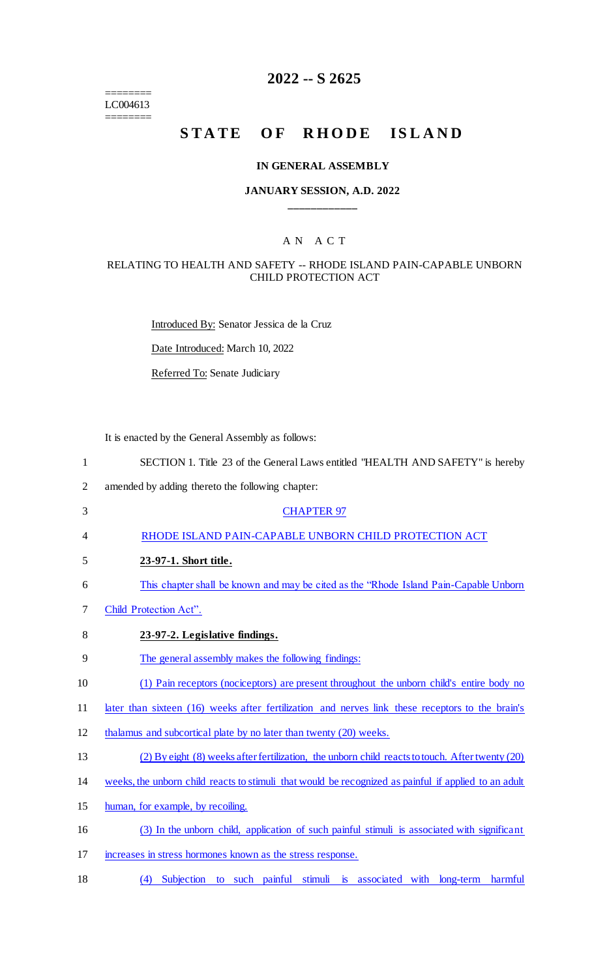======== LC004613 ========

# **2022 -- S 2625**

# **STATE OF RHODE ISLAND**

#### **IN GENERAL ASSEMBLY**

## **JANUARY SESSION, A.D. 2022 \_\_\_\_\_\_\_\_\_\_\_\_**

#### A N A C T

#### RELATING TO HEALTH AND SAFETY -- RHODE ISLAND PAIN-CAPABLE UNBORN CHILD PROTECTION ACT

Introduced By: Senator Jessica de la Cruz

Date Introduced: March 10, 2022

Referred To: Senate Judiciary

It is enacted by the General Assembly as follows:

| 1              | SECTION 1. Title 23 of the General Laws entitled "HEALTH AND SAFETY" is hereby                       |
|----------------|------------------------------------------------------------------------------------------------------|
| $\overline{2}$ | amended by adding thereto the following chapter:                                                     |
| 3              | <b>CHAPTER 97</b>                                                                                    |
| 4              | RHODE ISLAND PAIN-CAPABLE UNBORN CHILD PROTECTION ACT                                                |
| 5              | 23-97-1. Short title.                                                                                |
| 6              | This chapter shall be known and may be cited as the "Rhode Island Pain-Capable Unborn"               |
| 7              | Child Protection Act".                                                                               |
| 8              | 23-97-2. Legislative findings.                                                                       |
| 9              | The general assembly makes the following findings:                                                   |
| 10             | (1) Pain receptors (nociceptors) are present throughout the unborn child's entire body no            |
| 11             | later than sixteen (16) weeks after fertilization and nerves link these receptors to the brain's     |
| 12             | thalamus and subcortical plate by no later than twenty (20) weeks.                                   |
| 13             | (2) By eight (8) weeks after fertilization, the unborn child reacts to touch. After twenty (20)      |
| 14             | weeks, the unborn child reacts to stimuli that would be recognized as painful if applied to an adult |
| 15             | human, for example, by recoiling.                                                                    |
| 16             | (3) In the unborn child, application of such painful stimuli is associated with significant          |
| 17             | increases in stress hormones known as the stress response.                                           |

18 (4) Subjection to such painful stimuli is associated with long-term harmful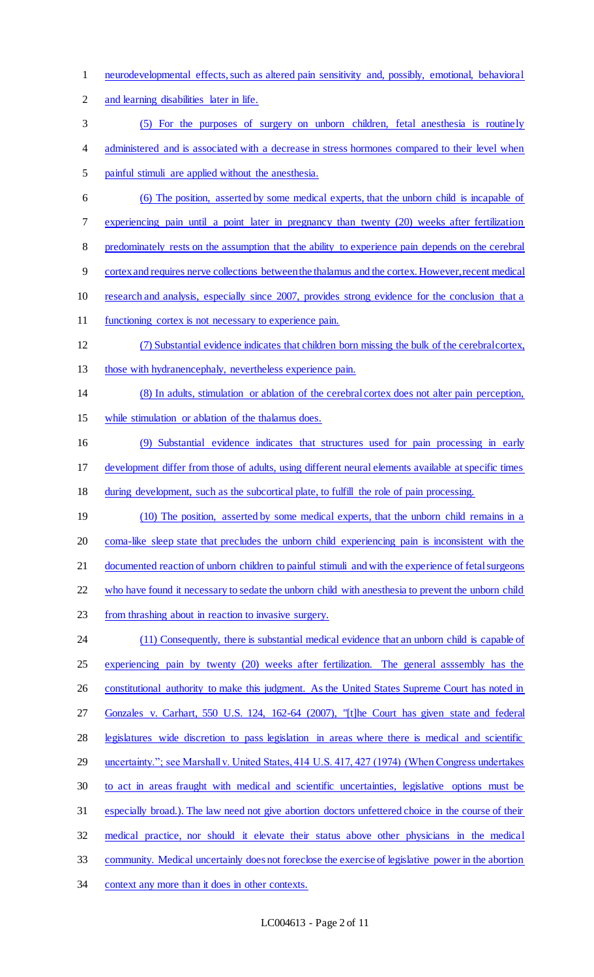and learning disabilities later in life. (5) For the purposes of surgery on unborn children, fetal anesthesia is routinely 4 administered and is associated with a decrease in stress hormones compared to their level when painful stimuli are applied without the anesthesia. (6) The position, asserted by some medical experts, that the unborn child is incapable of experiencing pain until a point later in pregnancy than twenty (20) weeks after fertilization 8 predominately rests on the assumption that the ability to experience pain depends on the cerebral cortex and requires nerve collections between the thalamus and the cortex. However, recent medical research and analysis, especially since 2007, provides strong evidence for the conclusion that a 11 functioning cortex is not necessary to experience pain. (7) Substantial evidence indicates that children born missing the bulk of the cerebral cortex, those with hydranencephaly, nevertheless experience pain. (8) In adults, stimulation or ablation of the cerebral cortex does not alter pain perception, while stimulation or ablation of the thalamus does. (9) Substantial evidence indicates that structures used for pain processing in early development differ from those of adults, using different neural elements available at specific times 18 during development, such as the subcortical plate, to fulfill the role of pain processing. 19 (10) The position, asserted by some medical experts, that the unborn child remains in a coma-like sleep state that precludes the unborn child experiencing pain is inconsistent with the documented reaction of unborn children to painful stimuli and with the experience of fetal surgeons 22 who have found it necessary to sedate the unborn child with anesthesia to prevent the unborn child from thrashing about in reaction to invasive surgery. 24 (11) Consequently, there is substantial medical evidence that an unborn child is capable of 25 experiencing pain by twenty (20) weeks after fertilization. The general asssembly has the 26 constitutional authority to make this judgment. As the United States Supreme Court has noted in Gonzales v. Carhart, 550 U.S. 124, 162-64 (2007), "[t]he Court has given state and federal legislatures wide discretion to pass legislation in areas where there is medical and scientific 29 uncertainty."; see Marshall v. United States, 414 U.S. 417, 427 (1974) (When Congress undertakes to act in areas fraught with medical and scientific uncertainties, legislative options must be especially broad.). The law need not give abortion doctors unfettered choice in the course of their medical practice, nor should it elevate their status above other physicians in the medical community. Medical uncertainly does not foreclose the exercise of legislative power in the abortion context any more than it does in other contexts.

neurodevelopmental effects, such as altered pain sensitivity and, possibly, emotional, behavioral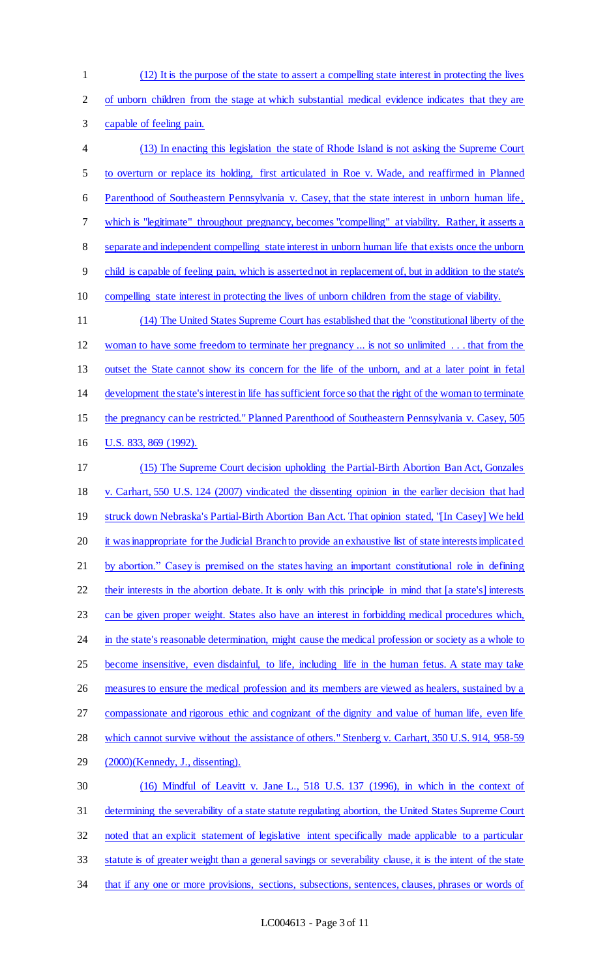(12) It is the purpose of the state to assert a compelling state interest in protecting the lives of unborn children from the stage at which substantial medical evidence indicates that they are capable of feeling pain. (13) In enacting this legislation the state of Rhode Island is not asking the Supreme Court to overturn or replace its holding, first articulated in Roe v. Wade, and reaffirmed in Planned Parenthood of Southeastern Pennsylvania v. Casey, that the state interest in unborn human life, which is "legitimate" throughout pregnancy, becomes "compelling" at viability. Rather, it asserts a separate and independent compelling state interest in unborn human life that exists once the unborn child is capable of feeling pain, which is asserted not in replacement of, but in addition to the state's compelling state interest in protecting the lives of unborn children from the stage of viability. (14) The United States Supreme Court has established that the "constitutional liberty of the woman to have some freedom to terminate her pregnancy ... is not so unlimited . . . that from the outset the State cannot show its concern for the life of the unborn, and at a later point in fetal development the state's interest in life has sufficient force so that the right of the woman to terminate 15 the pregnancy can be restricted." Planned Parenthood of Southeastern Pennsylvania v. Casey, 505 U.S. 833, 869 (1992). (15) The Supreme Court decision upholding the Partial-Birth Abortion Ban Act, Gonzales v. Carhart, 550 U.S. 124 (2007) vindicated the dissenting opinion in the earlier decision that had 19 struck down Nebraska's Partial-Birth Abortion Ban Act. That opinion stated, "[In Casey] We held 20 it was inappropriate for the Judicial Branch to provide an exhaustive list of state interests implicated by abortion." Casey is premised on the states having an important constitutional role in defining 22 their interests in the abortion debate. It is only with this principle in mind that [a state's] interests can be given proper weight. States also have an interest in forbidding medical procedures which, 24 in the state's reasonable determination, might cause the medical profession or society as a whole to become insensitive, even disdainful, to life, including life in the human fetus. A state may take 26 measures to ensure the medical profession and its members are viewed as healers, sustained by a compassionate and rigorous ethic and cognizant of the dignity and value of human life, even life 28 which cannot survive without the assistance of others." Stenberg v. Carhart, 350 U.S. 914, 958-59 (2000)(Kennedy, J., dissenting). (16) Mindful of Leavitt v. Jane L., 518 U.S. 137 (1996), in which in the context of determining the severability of a state statute regulating abortion, the United States Supreme Court noted that an explicit statement of legislative intent specifically made applicable to a particular statute is of greater weight than a general savings or severability clause, it is the intent of the state that if any one or more provisions, sections, subsections, sentences, clauses, phrases or words of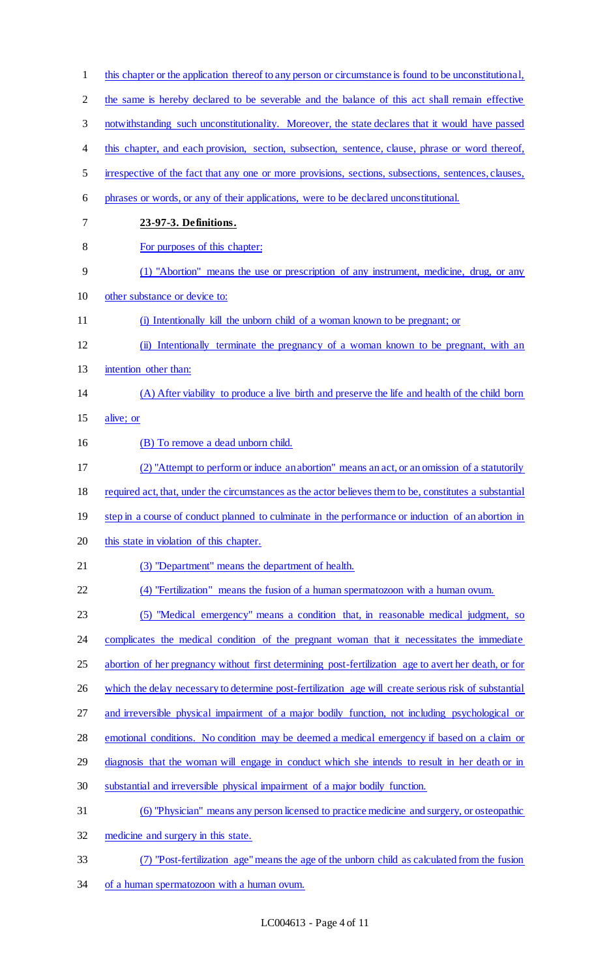| $\mathbf{1}$   | this chapter or the application thereof to any person or circumstance is found to be unconstitutional,  |
|----------------|---------------------------------------------------------------------------------------------------------|
| $\overline{2}$ | the same is hereby declared to be severable and the balance of this act shall remain effective          |
| 3              | notwithstanding such unconstitutionality. Moreover, the state declares that it would have passed        |
| 4              | this chapter, and each provision, section, subsection, sentence, clause, phrase or word thereof,        |
| 5              | irrespective of the fact that any one or more provisions, sections, subsections, sentences, clauses,    |
| 6              | phrases or words, or any of their applications, were to be declared unconstitutional.                   |
| 7              | 23-97-3. Definitions.                                                                                   |
| 8              | For purposes of this chapter:                                                                           |
| 9              | (1) "Abortion" means the use or prescription of any instrument, medicine, drug, or any                  |
| 10             | other substance or device to:                                                                           |
| 11             | (i) Intentionally kill the unborn child of a woman known to be pregnant; or                             |
| 12             | (ii) Intentionally terminate the pregnancy of a woman known to be pregnant, with an                     |
| 13             | intention other than:                                                                                   |
| 14             | (A) After viability to produce a live birth and preserve the life and health of the child born          |
| 15             | alive; or                                                                                               |
| 16             | (B) To remove a dead unborn child.                                                                      |
| 17             | (2) "Attempt to perform or induce an abortion" means an act, or an omission of a statutorily            |
| 18             | required act, that, under the circumstances as the actor believes them to be, constitutes a substantial |
| 19             | step in a course of conduct planned to culminate in the performance or induction of an abortion in      |
| 20             | this state in violation of this chapter.                                                                |
| 21             | (3) "Department" means the department of health.                                                        |
| 22             | (4) "Fertilization" means the fusion of a human spermatozoon with a human ovum.                         |
| 23             | (5) "Medical emergency" means a condition that, in reasonable medical judgment, so                      |
| 24             | complicates the medical condition of the pregnant woman that it necessitates the immediate              |
| 25             | abortion of her pregnancy without first determining post-fertilization age to avert her death, or for   |
| 26             | which the delay necessary to determine post-fertilization age will create serious risk of substantial   |
| 27             | and irreversible physical impairment of a major bodily function, not including psychological or         |
| 28             | emotional conditions. No condition may be deemed a medical emergency if based on a claim or             |
| 29             | diagnosis that the woman will engage in conduct which she intends to result in her death or in          |
| 30             | substantial and irreversible physical impairment of a major bodily function.                            |
| 31             | (6) "Physician" means any person licensed to practice medicine and surgery, or osteopathic              |
| 32             | medicine and surgery in this state.                                                                     |
| 33             | "Post-fertilization age" means the age of the unborn child as calculated from the fusion                |
| 34             | of a human spermatozoon with a human ovum.                                                              |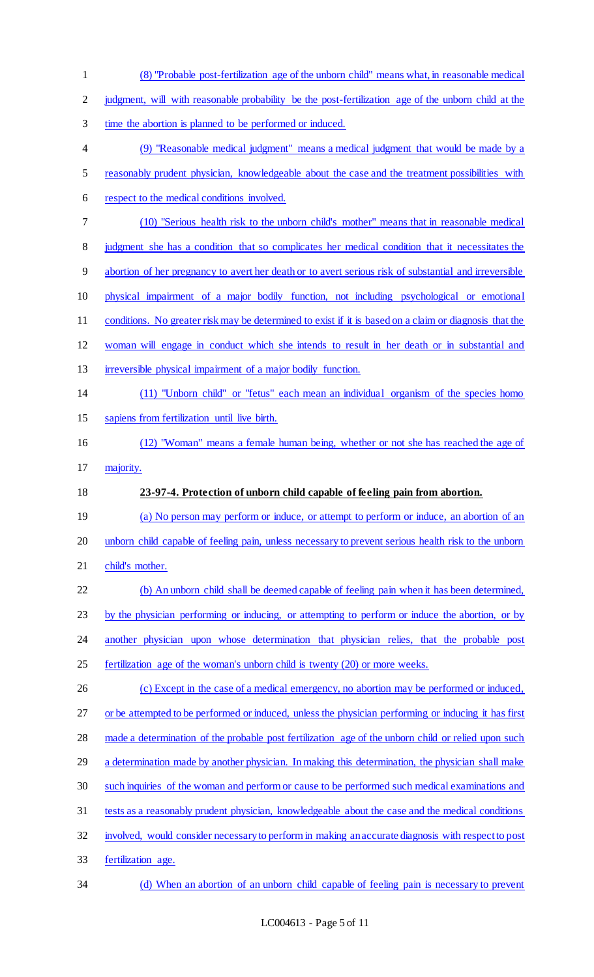(8) "Probable post-fertilization age of the unborn child" means what, in reasonable medical judgment, will with reasonable probability be the post-fertilization age of the unborn child at the time the abortion is planned to be performed or induced. (9) "Reasonable medical judgment" means a medical judgment that would be made by a reasonably prudent physician, knowledgeable about the case and the treatment possibilities with respect to the medical conditions involved. (10) "Serious health risk to the unborn child's mother" means that in reasonable medical 8 judgment she has a condition that so complicates her medical condition that it necessitates the abortion of her pregnancy to avert her death or to avert serious risk of substantial and irreversible physical impairment of a major bodily function, not including psychological or emotional conditions. No greater risk may be determined to exist if it is based on a claim or diagnosis that the woman will engage in conduct which she intends to result in her death or in substantial and 13 irreversible physical impairment of a major bodily function. (11) "Unborn child" or "fetus" each mean an individual organism of the species homo sapiens from fertilization until live birth. (12) "Woman" means a female human being, whether or not she has reached the age of majority. **23-97-4. Protection of unborn child capable of feeling pain from abortion.**  (a) No person may perform or induce, or attempt to perform or induce, an abortion of an 20 unborn child capable of feeling pain, unless necessary to prevent serious health risk to the unborn 21 child's mother. (b) An unborn child shall be deemed capable of feeling pain when it has been determined, by the physician performing or inducing, or attempting to perform or induce the abortion, or by another physician upon whose determination that physician relies, that the probable post fertilization age of the woman's unborn child is twenty (20) or more weeks. (c) Except in the case of a medical emergency, no abortion may be performed or induced, or be attempted to be performed or induced, unless the physician performing or inducing it has first made a determination of the probable post fertilization age of the unborn child or relied upon such 29 a determination made by another physician. In making this determination, the physician shall make such inquiries of the woman and perform or cause to be performed such medical examinations and tests as a reasonably prudent physician, knowledgeable about the case and the medical conditions involved, would consider necessary to perform in making an accurate diagnosis with respect to post fertilization age. (d) When an abortion of an unborn child capable of feeling pain is necessary to prevent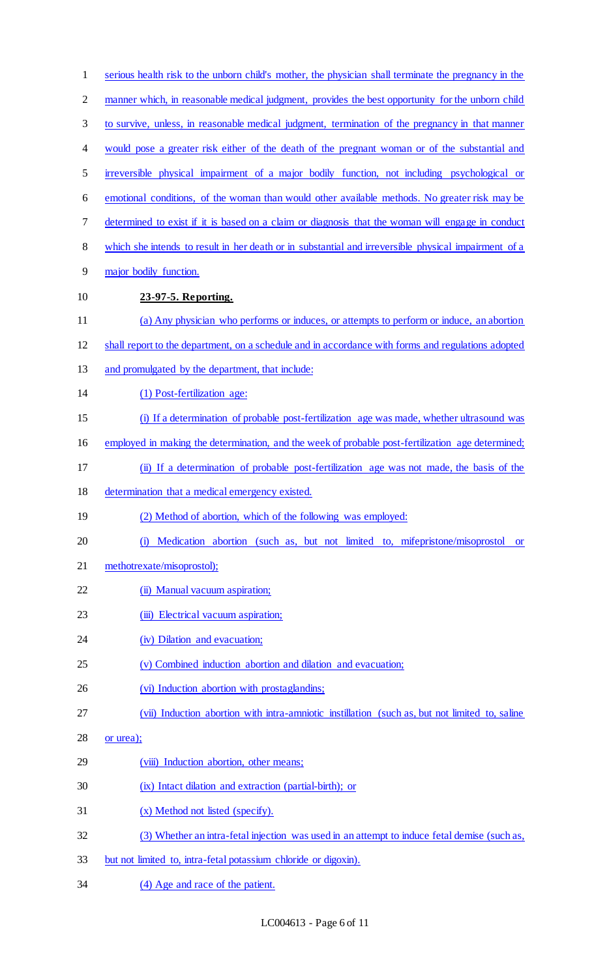| $\mathbf{1}$   | serious health risk to the unborn child's mother, the physician shall terminate the pregnancy in the |
|----------------|------------------------------------------------------------------------------------------------------|
| $\overline{2}$ | manner which, in reasonable medical judgment, provides the best opportunity for the unborn child     |
| $\mathfrak{Z}$ | to survive, unless, in reasonable medical judgment, termination of the pregnancy in that manner      |
| 4              | would pose a greater risk either of the death of the pregnant woman or of the substantial and        |
| 5              | irreversible physical impairment of a major bodily function, not including psychological or          |
| 6              | emotional conditions, of the woman than would other available methods. No greater risk may be        |
| 7              | determined to exist if it is based on a claim or diagnosis that the woman will engage in conduct     |
| 8              | which she intends to result in her death or in substantial and irreversible physical impairment of a |
| 9              | major bodily function.                                                                               |
| 10             | 23-97-5. Reporting.                                                                                  |
| 11             | (a) Any physician who performs or induces, or attempts to perform or induce, an abortion             |
| 12             | shall report to the department, on a schedule and in accordance with forms and regulations adopted   |
| 13             | and promulgated by the department, that include:                                                     |
| 14             | (1) Post-fertilization age:                                                                          |
| 15             | (i) If a determination of probable post-fertilization age was made, whether ultrasound was           |
| 16             | employed in making the determination, and the week of probable post-fertilization age determined;    |
| 17             | (ii) If a determination of probable post-fertilization age was not made, the basis of the            |
| 18             | determination that a medical emergency existed.                                                      |
| 19             | (2) Method of abortion, which of the following was employed:                                         |
| 20             | (i) Medication abortion (such as, but not limited to, mifepristone/misoprostol<br><b>or</b>          |
| 21             | methotrexate/misoprostol);                                                                           |
| 22             | (ii) Manual vacuum aspiration;                                                                       |
| 23             | (iii) Electrical vacuum aspiration;                                                                  |
| 24             | (iv) Dilation and evacuation;                                                                        |
| 25             | (v) Combined induction abortion and dilation and evacuation;                                         |
| 26             | (vi) Induction abortion with prostaglandins;                                                         |
| 27             | (vii) Induction abortion with intra-amniotic instillation (such as, but not limited to, saline       |
| 28             | or urea);                                                                                            |
| 29             | (viii) Induction abortion, other means;                                                              |
| 30             | (ix) Intact dilation and extraction (partial-birth); or                                              |
| 31             | (x) Method not listed (specify).                                                                     |
| 32             | (3) Whether an intra-fetal injection was used in an attempt to induce fetal demise (such as,         |
| 33             | but not limited to, intra-fetal potassium chloride or digoxin).                                      |
| 34             | (4) Age and race of the patient.                                                                     |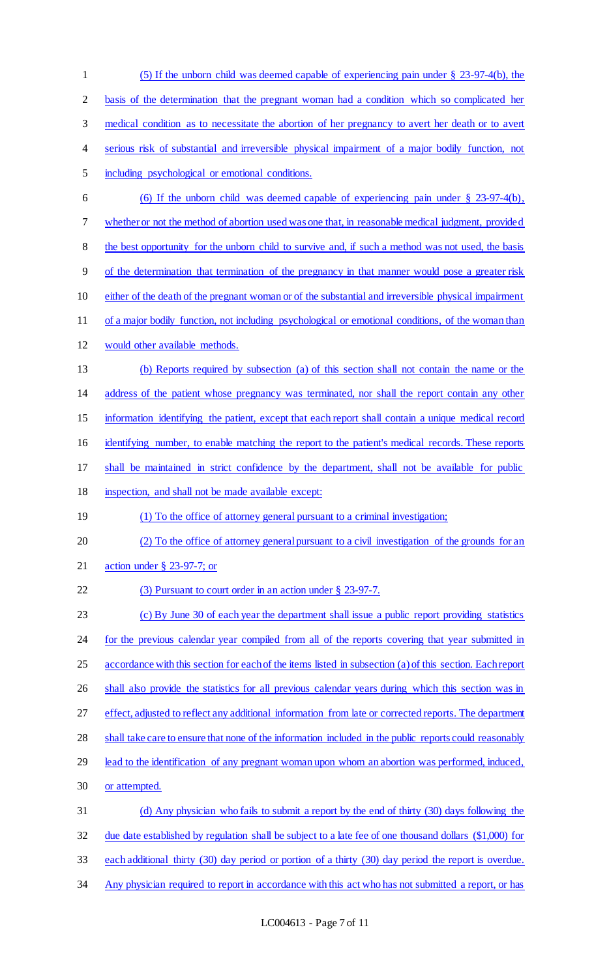(5) If the unborn child was deemed capable of experiencing pain under § 23-97-4(b), the basis of the determination that the pregnant woman had a condition which so complicated her medical condition as to necessitate the abortion of her pregnancy to avert her death or to avert serious risk of substantial and irreversible physical impairment of a major bodily function, not including psychological or emotional conditions. (6) If the unborn child was deemed capable of experiencing pain under § 23-97-4(b), whether or not the method of abortion used was one that, in reasonable medical judgment, provided 8 the best opportunity for the unborn child to survive and, if such a method was not used, the basis of the determination that termination of the pregnancy in that manner would pose a greater risk either of the death of the pregnant woman or of the substantial and irreversible physical impairment of a major bodily function, not including psychological or emotional conditions, of the woman than would other available methods. (b) Reports required by subsection (a) of this section shall not contain the name or the address of the patient whose pregnancy was terminated, nor shall the report contain any other information identifying the patient, except that each report shall contain a unique medical record 16 identifying number, to enable matching the report to the patient's medical records. These reports shall be maintained in strict confidence by the department, shall not be available for public inspection, and shall not be made available except: 19 (1) To the office of attorney general pursuant to a criminal investigation; 20 (2) To the office of attorney general pursuant to a civil investigation of the grounds for an action under § 23-97-7; or 22 (3) Pursuant to court order in an action under § 23-97-7. (c) By June 30 of each year the department shall issue a public report providing statistics 24 for the previous calendar year compiled from all of the reports covering that year submitted in accordance with this section for each of the items listed in subsection (a) of this section. Each report 26 shall also provide the statistics for all previous calendar years during which this section was in 27 effect, adjusted to reflect any additional information from late or corrected reports. The department shall take care to ensure that none of the information included in the public reports could reasonably lead to the identification of any pregnant woman upon whom an abortion was performed, induced, or attempted. (d) Any physician who fails to submit a report by the end of thirty (30) days following the due date established by regulation shall be subject to a late fee of one thousand dollars (\$1,000) for each additional thirty (30) day period or portion of a thirty (30) day period the report is overdue. Any physician required to report in accordance with this act who has not submitted a report, or has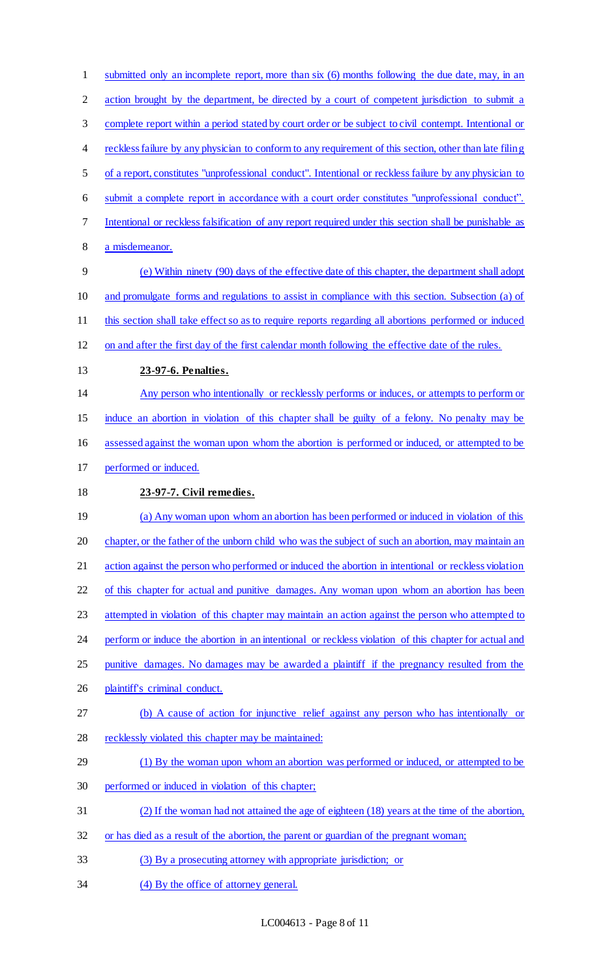1 submitted only an incomplete report, more than six (6) months following the due date, may, in an 2 action brought by the department, be directed by a court of competent jurisdiction to submit a complete report within a period stated by court order or be subject to civil contempt. Intentional or 4 reckless failure by any physician to conform to any requirement of this section, other than late filing of a report, constitutes "unprofessional conduct". Intentional or reckless failure by any physician to submit a complete report in accordance with a court order constitutes "unprofessional conduct". Intentional or reckless falsification of any report required under this section shall be punishable as a misdemeanor. (e) Within ninety (90) days of the effective date of this chapter, the department shall adopt and promulgate forms and regulations to assist in compliance with this section. Subsection (a) of this section shall take effect so as to require reports regarding all abortions performed or induced on and after the first day of the first calendar month following the effective date of the rules. **23-97-6. Penalties.**  Any person who intentionally or recklessly performs or induces, or attempts to perform or induce an abortion in violation of this chapter shall be guilty of a felony. No penalty may be assessed against the woman upon whom the abortion is performed or induced, or attempted to be performed or induced. **23-97-7. Civil remedies.**  (a) Any woman upon whom an abortion has been performed or induced in violation of this chapter, or the father of the unborn child who was the subject of such an abortion, may maintain an action against the person who performed or induced the abortion in intentional or reckless violation 22 of this chapter for actual and punitive damages. Any woman upon whom an abortion has been attempted in violation of this chapter may maintain an action against the person who attempted to 24 perform or induce the abortion in an intentional or reckless violation of this chapter for actual and punitive damages. No damages may be awarded a plaintiff if the pregnancy resulted from the plaintiff's criminal conduct. (b) A cause of action for injunctive relief against any person who has intentionally or recklessly violated this chapter may be maintained: (1) By the woman upon whom an abortion was performed or induced, or attempted to be performed or induced in violation of this chapter; (2) If the woman had not attained the age of eighteen (18) years at the time of the abortion, 32 or has died as a result of the abortion, the parent or guardian of the pregnant woman; (3) By a prosecuting attorney with appropriate jurisdiction; or 34 (4) By the office of attorney general.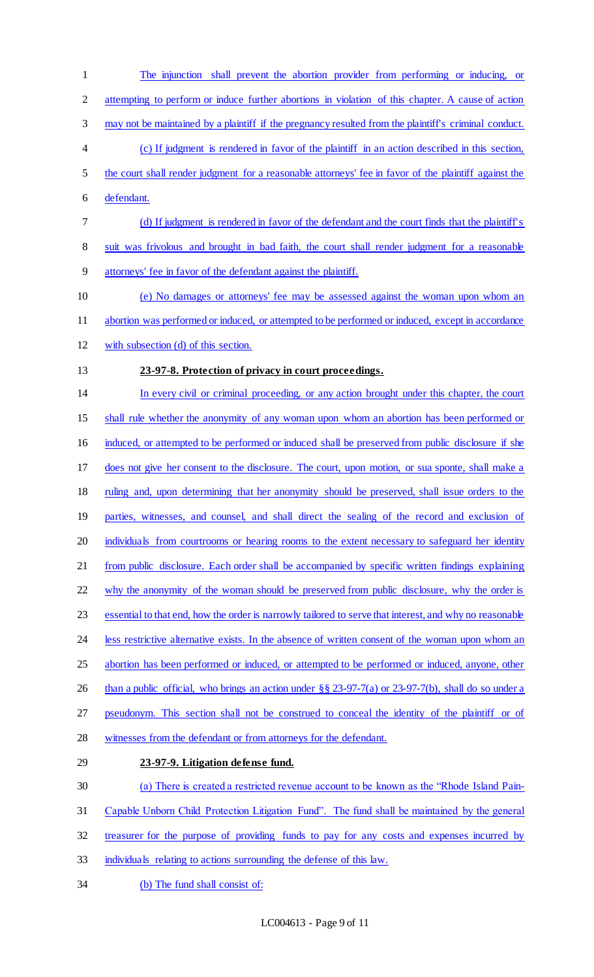- The injunction shall prevent the abortion provider from performing or inducing, or attempting to perform or induce further abortions in violation of this chapter. A cause of action may not be maintained by a plaintiff if the pregnancy resulted from the plaintiff's criminal conduct. (c) If judgment is rendered in favor of the plaintiff in an action described in this section, the court shall render judgment for a reasonable attorneys' fee in favor of the plaintiff against the defendant. (d) If judgment is rendered in favor of the defendant and the court finds that the plaintiff's 8 suit was frivolous and brought in bad faith, the court shall render judgment for a reasonable attorneys' fee in favor of the defendant against the plaintiff. (e) No damages or attorneys' fee may be assessed against the woman upon whom an abortion was performed or induced, or attempted to be performed or induced, except in accordance with subsection (d) of this section. **23-97-8. Protection of privacy in court proceedings.**  In every civil or criminal proceeding, or any action brought under this chapter, the court shall rule whether the anonymity of any woman upon whom an abortion has been performed or 16 induced, or attempted to be performed or induced shall be preserved from public disclosure if she does not give her consent to the disclosure. The court, upon motion, or sua sponte, shall make a ruling and, upon determining that her anonymity should be preserved, shall issue orders to the parties, witnesses, and counsel, and shall direct the sealing of the record and exclusion of 20 individuals from courtrooms or hearing rooms to the extent necessary to safeguard her identity from public disclosure. Each order shall be accompanied by specific written findings explaining 22 why the anonymity of the woman should be preserved from public disclosure, why the order is 23 essential to that end, how the order is narrowly tailored to serve that interest, and why no reasonable less restrictive alternative exists. In the absence of written consent of the woman upon whom an abortion has been performed or induced, or attempted to be performed or induced, anyone, other 26 than a public official, who brings an action under §§ 23-97-7(a) or 23-97-7(b), shall do so under a pseudonym. This section shall not be construed to conceal the identity of the plaintiff or of witnesses from the defendant or from attorneys for the defendant. **23-97-9. Litigation defense fund.**  (a) There is created a restricted revenue account to be known as the "Rhode Island Pain- Capable Unborn Child Protection Litigation Fund". The fund shall be maintained by the general treasurer for the purpose of providing funds to pay for any costs and expenses incurred by individuals relating to actions surrounding the defense of this law.
- (b) The fund shall consist of: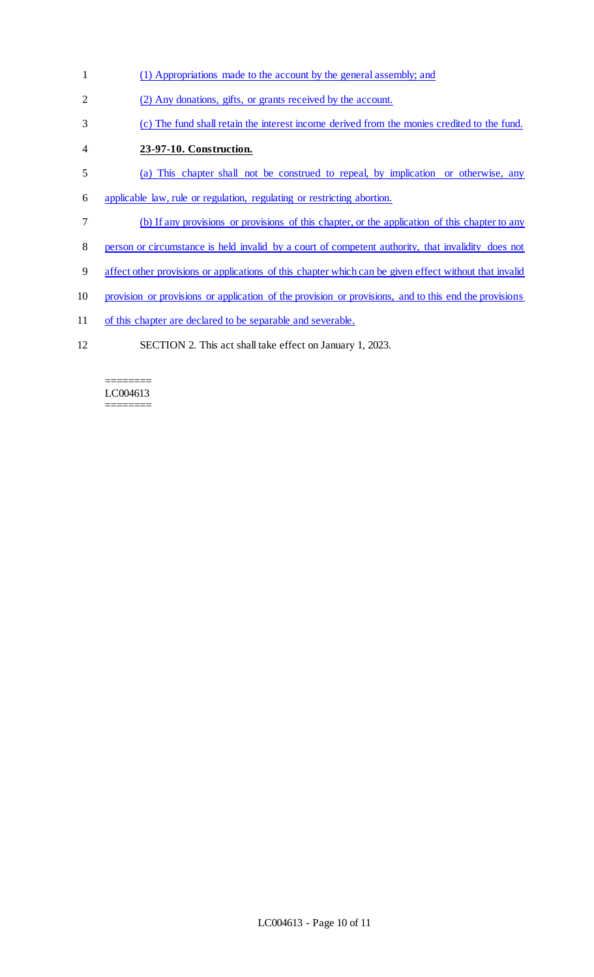- (1) Appropriations made to the account by the general assembly; and
- (2) Any donations, gifts, or grants received by the account.
- (c) The fund shall retain the interest income derived from the monies credited to the fund.
- **23-97-10. Construction.**
- (a) This chapter shall not be construed to repeal, by implication or otherwise, any
- applicable law, rule or regulation, regulating or restricting abortion.
- (b) If any provisions or provisions of this chapter, or the application of this chapter to any
- person or circumstance is held invalid by a court of competent authority, that invalidity does not
- affect other provisions or applications of this chapter which can be given effect without that invalid
- provision or provisions or application of the provision or provisions, and to this end the provisions
- 11 of this chapter are declared to be separable and severable.
- SECTION 2. This act shall take effect on January 1, 2023.

======== LC004613 ========